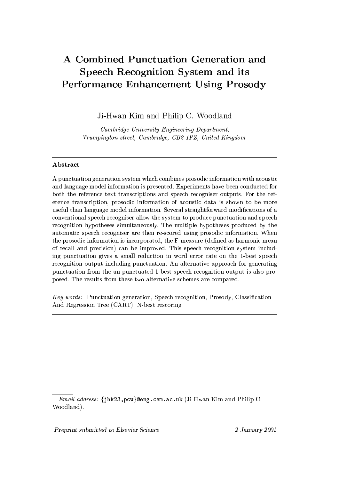# A Combined Punctuation Generation and Speech Recognition System and its **Performance Enhancement Using Prosody**

Ji-Hwan Kim and Philip C. Woodland

Cambridge University Engineering Department, Trumpington street, Cambridge, CB2 1PZ, United Kingdom

## Abstract

A punctuation generation system which combines prosodic information with acoustic and language model information is presented. Experiments have been conducted for both the reference text transcriptions and speech recogniser outputs. For the reference transcription, prosodic information of acoustic data is shown to be more useful than language model information. Several straightforward modifications of a conventional speech recogniser allow the system to produce punctuation and speech recognition hypotheses simultaneously. The multiple hypotheses produced by the automatic speech recogniser are then re-scored using prosodic information. When the prosodic information is incorporated, the F-measure (defined as harmonic mean of recall and precision) can be improved. This speech recognition system including punctuation gives a small reduction in word error rate on the 1-best speech recognition output including punctuation. An alternative approach for generating punctuation from the un-punctuated 1-best speech recognition output is also proposed. The results from these two alternative schemes are compared.

Key words: Punctuation generation, Speech recognition, Prosody, Classification And Regression Tree (CART), N-best rescoring

Preprint submitted to Elsevier Science

*Email address:* {jhk23, pcw}@eng.cam.ac.uk (Ji-Hwan Kim and Philip C. Woodland).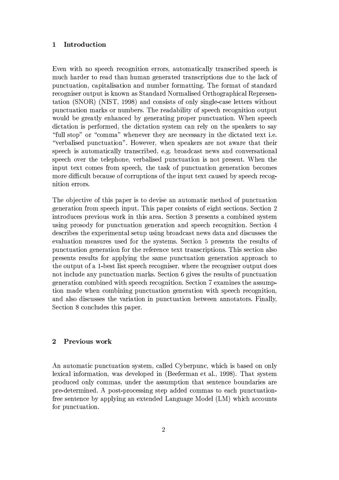### $\mathbf{1}$ Introduction

Even with no speech recognition errors, automatically transcribed speech is much harder to read than human generated transcriptions due to the lack of punctuation, capitalisation and number formatting. The format of standard recogniser output is known as Standard Normalised Orthographical Representation (SNOR) (NIST, 1998) and consists of only single-case letters without punctuation marks or numbers. The readability of speech recognition output would be greatly enhanced by generating proper punctuation. When speech dictation is performed, the dictation system can rely on the speakers to say "full stop" or "comma" whenever they are necessary in the dictated text i.e. "verbalised punctuation". However, when speakers are not aware that their speech is automatically transcribed, e.g. broadcast news and conversational speech over the telephone, verbalised punctuation is not present. When the input text comes from speech, the task of punctuation generation becomes more difficult because of corruptions of the input text caused by speech recognition errors.

The objective of this paper is to devise an automatic method of punctuation generation from speech input. This paper consists of eight sections. Section 2 introduces previous work in this area. Section 3 presents a combined system using prosody for punctuation generation and speech recognition. Section 4 describes the experimental setup using broadcast news data and discusses the evaluation measures used for the systems. Section 5 presents the results of punctuation generation for the reference text transcriptions. This section also presents results for applying the same punctuation generation approach to the output of a 1-best list speech recogniser, where the recogniser output does not include any punctuation marks. Section 6 gives the results of punctuation generation combined with speech recognition. Section 7 examines the assumption made when combining punctuation generation with speech recognition, and also discusses the variation in punctuation between annotators. Finally, Section 8 concludes this paper.

## $\overline{2}$ Previous work

An automatic punctuation system, called Cyberpunc, which is based on only lexical information, was developed in (Beeferman et al., 1998). That system produced only commas, under the assumption that sentence boundaries are pre-determined. A post-processing step added commas to each punctuationfree sentence by applying an extended Language Model (LM) which accounts for punctuation.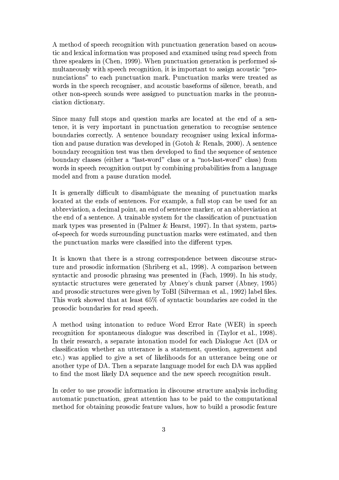A method of speech recognition with punctuation generation based on acoustic and lexical information was proposed and examined using read speech from three speakers in (Chen, 1999). When punctuation generation is performed simultaneously with speech recognition, it is important to assign acoustic "pronunciations" to each punctuation mark. Punctuation marks were treated as words in the speech recogniser, and acoustic baseforms of silence, breath, and other non-speech sounds were assigned to punctuation marks in the pronunciation dictionary.

Since many full stops and question marks are located at the end of a sentence, it is very important in punctuation generation to recognise sentence boundaries correctly. A sentence boundary recogniser using lexical information and pause duration was developed in (Gotoh & Renals, 2000). A sentence boundary recognition test was then developed to find the sequence of sentence boundary classes (either a "last-word" class or a "not-last-word" class) from words in speech recognition output by combining probabilities from a language model and from a pause duration model.

It is generally difficult to disambiguate the meaning of punctuation marks located at the ends of sentences. For example, a full stop can be used for an abbreviation, a decimal point, an end of sentence marker, or an abbreviation at the end of a sentence. A trainable system for the classification of punctuation mark types was presented in (Palmer & Hearst, 1997). In that system, partsof-speech for words surrounding punctuation marks were estimated, and then the punctuation marks were classified into the different types.

It is known that there is a strong correspondence between discourse structure and prosodic information (Shriberg et al., 1998). A comparison between syntactic and prosodic phrasing was presented in  $(Fach, 1999)$ . In his study, syntactic structures were generated by Abney's chunk parser (Abney, 1995) and prosodic structures were given by ToBI (Silverman et al., 1992) label files. This work showed that at least 65% of syntactic boundaries are coded in the prosodic boundaries for read speech.

 $\rm A$  method using intonation to reduce Word Error Rate (WER) in speech recognition for spontaneous dialogue was described in (Taylor et al., 1998). In their research, a separate intonation model for each Dialogue Act (DA or classification whether an utterance is a statement, question, agreement and etc.) was applied to give a set of likelihoods for an utterance being one or another type of DA. Then a separate language model for each DA was applied to find the most likely DA sequence and the new speech recognition result.

In order to use prosodic information in discourse structure analysis including automatic punctuation, great attention has to be paid to the computational method for obtaining prosodic feature values, how to build a prosodic feature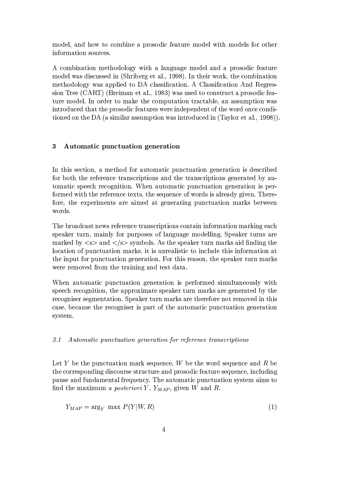model, and how to combine a prosodic feature model with models for other information sources.

A combination methodology with a language model and a prosodic feature model was discussed in (Shriberg et al., 1998). In their work, the combination methodology was applied to DA classification. A Classification And Regression Tree (CART) (Breiman et al., 1983) was used to construct a prosodic feature model. In order to make the computation tractable, an assumption was introduced that the prosodic features were independent of the word once conditioned on the DA (a similar assumption was introduced in (Taylor et al., 1998)).

## 3 Automatic punctuation generation

In this section, a method for automatic punctuation generation is described for both the reference transcriptions and the transcriptions generated by automatic speech recognition. When automatic punctuation generation is performed with the reference texts, the sequence of words is already given. Therefore, the experiments are aimed at generating punctuation marks between words.

The broadcast news reference transcriptions contain information marking each speaker turn, mainly for purposes of language modelling. Speaker turns are marked by  $\langle s \rangle$  and  $\langle s \rangle$  symbols. As the speaker turn marks aid finding the location of punctuation marks, it is unrealistic to include this information at the input for punctuation generation. For this reason, the speaker turn marks were removed from the training and test data.

When automatic punctuation generation is performed simultaneously with speech recognition, the approximate speaker turn marks are generated by the recogniser segmentation. Speaker turn marks are therefore not removed in this case, because the recogniser is part of the automatic punctuation generation system.

### $3.1$ Automatic punctuation generation for reference transcriptions

Let Y be the punctuation mark sequence,  $W$  be the word sequence and R be the corresponding discourse structure and prosodic feature sequence, including pause and fundamental frequency. The automatic punctuation system aims to find the maximum a posteriori Y,  $Y_{MAP}$ , given W and R.

$$
Y_{MAP} = \arg_{Y} \max P(Y|W, R) \tag{1}
$$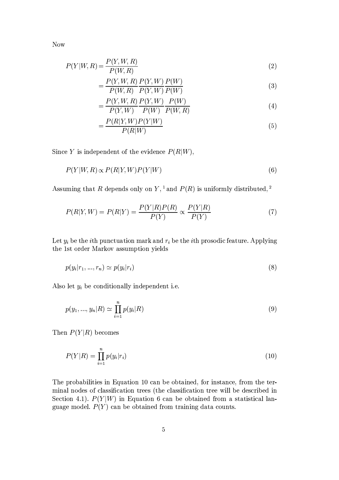Now

$$
P(Y|W,R) = \frac{P(Y,W,R)}{P(W,R)}\tag{2}
$$

$$
=\frac{P(Y, W, R)}{P(W, R)} \frac{P(Y, W)}{P(Y, W)} \frac{P(W)}{P(W)}
$$
\n(3)

$$
=\frac{P(Y, W, R)}{P(Y, W)}\frac{P(Y, W)}{P(W)}\frac{P(W)}{P(W, R)}
$$
(4)

$$
=\frac{P(R|Y,W)P(Y|W)}{P(R|W)}
$$
\n(5)

Since Y is independent of the evidence  $P(R|W)$ ,

$$
P(Y|W,R) \propto P(R|Y,W)P(Y|W)
$$
\n<sup>(6)</sup>

Assuming that R depends only on  $Y$ , <sup>1</sup> and  $P(R)$  is uniformly distributed, <sup>2</sup>

$$
P(R|Y,W) = P(R|Y) = \frac{P(Y|R)P(R)}{P(Y)} \propto \frac{P(Y|R)}{P(Y)}
$$
\n<sup>(7)</sup>

Let  $y_i$  be the *i*th punctuation mark and  $r_i$  be the *i*th prosodic feature. Applying the 1st order Markov assumption yields

$$
p(y_i|r_1, \ldots, r_n) \simeq p(y_i|r_i) \tag{8}
$$

Also let  $y_i$  be conditionally independent i.e.

$$
p(y_1, ..., y_n | R) \simeq \prod_{i=1}^n p(y_i | R)
$$
\n(9)

Then  $P(Y|R)$  becomes

$$
P(Y|R) = \prod_{i=1}^{n} p(y_i|r_i)
$$
\n(10)

The probabilities in Equation 10 can be obtained, for instance, from the terminal nodes of classification trees (the classification tree will be described in Section 4.1).  $P(Y|W)$  in Equation 6 can be obtained from a statistical language model.  $P(Y)$  can be obtained from training data counts.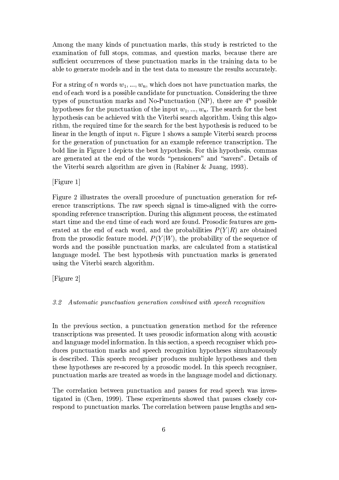Among the many kinds of punctuation marks, this study is restricted to the examination of full stops, commas, and question marks, because there are sufficient occurrences of these punctuation marks in the training data to be able to generate models and in the test data to measure the results accurately.

For a string of n words  $w_1, ..., w_n$ , which does not have punctuation marks, the end of each word is a possible candidate for punctuation. Considering the three types of punctuation marks and No-Punctuation (NP), there are  $4^n$  possible hypotheses for the punctuation of the input  $w_1, ..., w_n$ . The search for the best hypothesis can be achieved with the Viterbi search algorithm. Using this algorithm, the required time for the search for the best hypothesis is reduced to be linear in the length of input n. Figure 1 shows a sample Viterbi search process for the generation of punctuation for an example reference transcription. The bold line in Figure 1 depicts the best hypothesis. For this hypothesis, commas are generated at the end of the words "pensioners" and "savers". Details of the Viterbi search algorithm are given in (Rabiner & Juang, 1993).

 $[Figure 1]$ 

Figure 2 illustrates the overall procedure of punctuation generation for reference transcriptions. The raw speech signal is time-aligned with the corresponding reference transcription. During this alignment process, the estimated start time and the end time of each word are found. Prosodic features are generated at the end of each word, and the probabilities  $P(Y|R)$  are obtained from the prosodic feature model.  $P(Y|W)$ , the probability of the sequence of words and the possible punctuation marks, are calculated from a statistical language model. The best hypothesis with punctuation marks is generated using the Viterbi search algorithm.

?-5.+1W

## 3.2 Automatic punctuation generation combined with speech recognition

In the previous section, a punctuation generation method for the reference transcriptions was presented. It uses prosodic information along with acoustic and language model information. In this section, a speech recogniser which produces punctuation marks and speech recognition hypotheses simultaneously is described. This speech recogniser produces multiple hypotheses and then these hypotheses are re-scored by a prosodic model. In this speech recogniser, punctuation marks are treated as words in the language model and dictionary.

The correlation between punctuation and pauses for read speech was investigated in (Chen, 1999). These experiments showed that pauses closely correspond to punctuation marks. The correlation between pause lengths and sen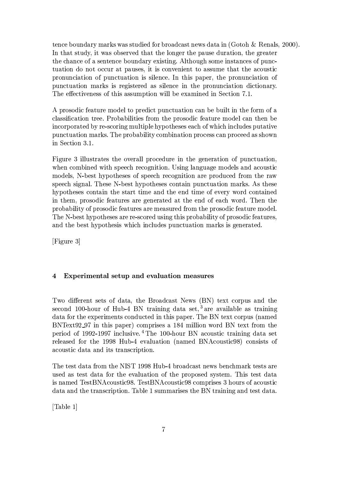tence boundary marks was studied for broadcast news data in (Gotoh & Renals, 2000). In that study, it was observed that the longer the pause duration, the greater the chance of a sentence boundary existing. Although some instances of punctuation do not occur at pauses, it is convenient to assume that the acoustic pronunciation of punctuation is silence. In this paper, the pronunciation of punctuation marks is registered as silence in the pronunciation dictionary. The effectiveness of this assumption will be examined in Section 7.1.

A prosodic feature model to predict punctuation can be built in the form of a classification tree. Probabilities from the prosodic feature model can then be incorporated by re-scoring multiple hypotheses each of which includes putative punctuation marks. The probability combination process can proceed as shown in Section 3.1.

Figure 3 illustrates the overall procedure in the generation of punctuation. when combined with speech recognition. Using language models and acoustic models, N-best hypotheses of speech recognition are produced from the raw speech signal. These N-best hypotheses contain punctuation marks. As these hypotheses contain the start time and the end time of every word contained in them, prosodic features are generated at the end of each word. Then the probability of prosodic features are measured from the prosodic feature model. The N-best hypotheses are re-scored using this probability of prosodic features, and the best hypothesis which includes punctuation marks is generated.

[Figure 3]

## Experimental setup and evaluation measures  $\overline{\mathbf{4}}$

Two different sets of data, the Broadcast News (BN) text corpus and the second 100-hour of Hub-4 BN training data set,<sup>3</sup> are available as training data for the experiments conducted in this paper. The BN text corpus (named BNText92\_97 in this paper) comprises a 184 million word BN text from the period of 1992-1997 inclusive.<sup>4</sup> The 100-hour BN acoustic training data set released for the 1998 Hub-4 evaluation (named BNAcoustic98) consists of acoustic data and its transcription.

The test data from the NIST 1998 Hub-4 broadcast news benchmark tests are used as test data for the evaluation of the proposed system. This test data is named TestBNAcoustic98. TestBNAcoustic98 comprises 3 hours of acoustic data and the transcription. Table 1 summarises the BN training and test data.

[Table  $1$ ]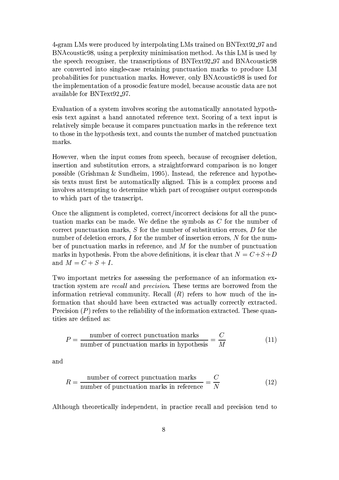4-gram LMs were produced by interpolating LMs trained on BNText92.97 and BNAcoustic98, using a perplexity minimisation method. As this LM is used by the speech recogniser, the transcriptions of BNText92\_97 and BNA coustic 98 are converted into single-case retaining punctuation marks to produce LM probabilities for punctuation marks. However, only BNAcoustic98 is used for the implementation of a prosodic feature model, because acoustic data are not available for BNText92\_97.

Evaluation of a system involves scoring the automatically annotated hypothesis text against a hand annotated reference text. Scoring of a text input is relatively simple because it compares punctuation marks in the reference text to those in the hypothesis text, and counts the number of matched punctuation marks.

However, when the input comes from speech, because of recogniser deletion, insertion and substitution errors, a straightforward comparison is no longer possible (Grishman & Sundheim, 1995). Instead, the reference and hypothesis texts must first be automatically aligned. This is a complex process and involves attempting to determine which part of recogniser output corresponds to which part of the transcript.

Once the alignment is completed, correct/incorrect decisions for all the punctuation marks can be made. We define the symbols as  $C$  for the number of correct punctuation marks,  $S$  for the number of substitution errors,  $D$  for the number of deletion errors,  $I$  for the number of insertion errors,  $N$  for the number of punctuation marks in reference, and  $M$  for the number of punctuation marks in hypothesis. From the above definitions, it is clear that  $N = C + S + D$ and  $M = C + S + I$ .

Two important metrics for assessing the performance of an information extraction system are *recall* and *precision*. These terms are borrowed from the information retrieval community. Recall  $(R)$  refers to how much of the information that should have been extracted was actually correctly extracted. Precision  $(P)$  refers to the reliability of the information extracted. These quantities are defined as:

$$
P = \frac{\text{number of correct punctuation marks}}{\text{number of punctuation marks in hypothesis}} = \frac{C}{M}
$$
(11)

and

$$
R = \frac{\text{number of correct punctuation marks}}{\text{number of punctuation marks in reference}} = \frac{C}{N}
$$
 (12)

Although theoretically independent, in practice recall and precision tend to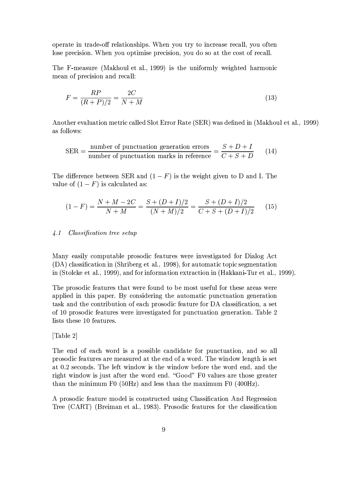operate in trade-off relationships. When you try to increase recall, you often lose precision. When you optimise precision, you do so at the cost of recall.

The F-measure (Makhoul et al., 1999) is the uniformly weighted harmonic mean of precision and recall:

$$
F = \frac{RP}{(R+P)/2} = \frac{2C}{N+M}
$$
\n<sup>(13)</sup>

Another evaluation metric called Slot Error Rate (SER) was defined in (Makhoul et al., 1999) as follows:

$$
SER = \frac{\text{number of punctuation generation errors}}{\text{number of punctuation marks in reference}} = \frac{S + D + I}{C + S + D}
$$
(14)

The difference between SER and  $(1 - F)$  is the weight given to D and I. The value of  $(1 - F)$  is calculated as:

$$
(1 - F) = \frac{N + M - 2C}{N + M} = \frac{S + (D + I)/2}{(N + M)/2} = \frac{S + (D + I)/2}{C + S + (D + I)/2}
$$
(15)

### $\lambda$ .1 *Classification tree setup*

Many easily computable prosodic features were investigated for Dialog Act (DA) classification in (Shriberg et al., 1998), for automatic topic segmentation in (Stolcke et al., 1999), and for information extraction in (Hakkani-Tur et al., 1999).

The prosodic features that were found to be most useful for these areas were applied in this paper. By considering the automatic punctuation generation task and the contribution of each prosodic feature for DA classification, a set of 10 prosodic features were investigated for punctuation generation. Table 2 lists these 10 features.

## [Table 2]

The end of each word is a possible candidate for punctuation, and so all prosodic features are measured at the end of a word. The window length is set at 0.2 seconds. The left window is the window before the word end, and the right window is just after the word end. "Good" F0 values are those greater than the minimum F0  $(50Hz)$  and less than the maximum F0  $(400Hz)$ .

A prosodic feature model is constructed using Classification And Regression Tree (CART) (Breiman et al., 1983). Prosodic features for the classification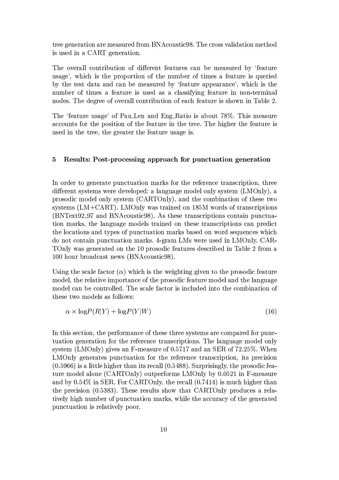tree generation are measured from BNA coustic 98. The cross validation method is used in a CART generation.

The overall contribution of different features can be measured by 'feature usage', which is the proportion of the number of times a feature is queried by the test data and can be measured by 'feature appearance', which is the number of times a feature is used as a classifying feature in non-terminal nodes. The degree of overall contribution of each feature is shown in Table 2.

The 'feature usage' of Pau<sub>-Len</sub> and Eng-Ratio is about 78%. This measure accounts for the position of the feature in the tree. The higher the feature is used in the tree, the greater the feature usage is.

### $\overline{5}$ Results: Post-processing approach for punctuation generation

In order to generate punctuation marks for the reference transcription, three different systems were developed: a language model only system (LMOnly), a prosodic model only system (CARTOnly), and the combination of these two systems  $(LM + CART)$ . LMOnly was trained on 185M words of transcriptions (BNText92\_97 and BNAcoustic98). As these transcriptions contain punctuation marks, the language models trained on these transcriptions can predict the locations and types of punctuation marks based on word sequences which do not contain punctuation marks. 4-gram LMs were used in LMOnly. CAR-TOnly was generated on the 10 prosodic features described in Table 2 from a 100 hour broadcast news (BNAcoustic98).

Using the scale factor  $(\alpha)$  which is the weighting given to the prosodic feature model, the relative importance of the prosodic feature model and the language model can be controlled. The scale factor is included into the combination of these two models as follows:

$$
\alpha \times \log P(R|Y) + \log P(Y|W) \tag{16}
$$

In this section, the performance of these three systems are compared for punctuation generation for the reference transcriptions. The language model only system (LMOnly) gives an F-measure of 0.5717 and an SER of  $72.25\%$ . When LMOnly generates punctuation for the reference transcription, its precision  $(0.5966)$  is a little higher than its recall  $(0.5488)$ . Surprisingly, the prosodic feature model alone (CARTOnly) outperforms LMOnly by 0.0521 in F-measure and by  $0.54\%$  in SER. For CARTOnly, the recall  $(0.7414)$  is much higher than the precision (0.5383). These results show that CARTOnly produces a relatively high number of punctuation marks, while the accuracy of the generated punctuation is relatively poor.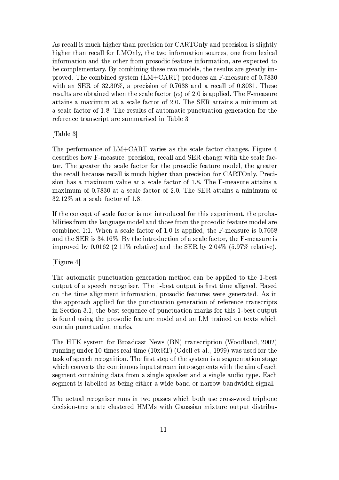As recall is much higher than precision for CARTOnly and precision is slightly higher than recall for LMOnly, the two information sources, one from lexical information and the other from prosodic feature information, are expected to be complementary. By combining these two models, the results are greatly improved. The combined system  $(LM+CART)$  produces an F-measure of 0.7830 with an SER of  $32.30\%$ , a precision of 0.7638 and a recall of 0.8031. These results are obtained when the scale factor ( $\alpha$ ) of 2.0 is applied. The F-measure attains a maximum at a scale factor of 2.0. The SER attains a minimum at a scale factor of 1.8. The results of automatic punctuation generation for the reference transcript are summarised in Table 3.

[Table 3]

The performance of LM+CART varies as the scale factor changes. Figure 4 describes how F-measure, precision, recall and SER change with the scale factor. The greater the scale factor for the prosodic feature model, the greater the recall because recall is much higher than precision for CARTOnly. Precision has a maximum value at a scale factor of 1.8. The F-measure attains a maximum of 0.7830 at a scale factor of 2.0. The SER attains a minimum of  $32.12\%$  at a scale factor of 1.8.

If the concept of scale factor is not introduced for this experiment, the probabilities from the language model and those from the prosodic feature model are combined 1:1. When a scale factor of 1.0 is applied, the F-measure is 0.7668 and the SER is 34.16%. By the introduction of a scale factor, the F-measure is improved by 0.0162 (2.11% relative) and the SER by  $2.04\%$  (5.97% relative).

[Figure 4]

The automatic punctuation generation method can be applied to the 1-best output of a speech recogniser. The 1-best output is first time aligned. Based on the time alignment information, prosodic features were generated. As in the approach applied for the punctuation generation of reference transcripts in Section 3.1, the best sequence of punctuation marks for this 1-best output is found using the prosodic feature model and an LM trained on texts which contain punctuation marks.

The HTK system for Broadcast News (BN) transcription (Woodland, 2002) running under 10 times real time  $(10xRT)$  (Odell et al., 1999) was used for the task of speech recognition. The first step of the system is a segmentation stage which converts the continuous input stream into segments with the aim of each segment containing data from a single speaker and a single audio type. Each segment is labelled as being either a wide-band or narrow-bandwidth signal.

The actual recogniser runs in two passes which both use cross-word triphone decision-tree state clustered HMMs with Gaussian mixture output distribu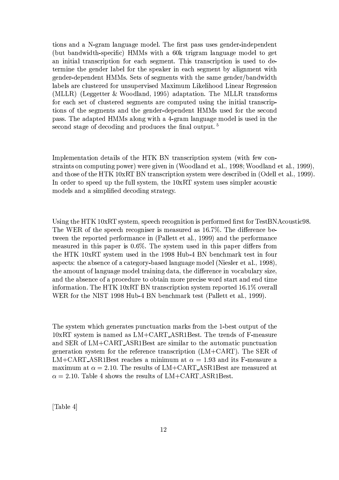tions and a N-gram language model. The first pass uses gender-independent (but bandwidth-specific) HMMs with a 60k trigram language model to get an initial transcription for each segment. This transcription is used to determine the gender label for the speaker in each segment by alignment with gender-dependent HMMs. Sets of segments with the same gender/bandwidth labels are clustered for unsupervised Maximum Likelihood Linear Regression (MLLR) (Leggetter & Woodland, 1995) adaptation. The MLLR transforms for each set of clustered segments are computed using the initial transcriptions of the segments and the gender-dependent HMMs used for the second pass. The adapted HMMs along with a 4-gram language model is used in the second stage of decoding and produces the final output.<sup>5</sup>

Implementation details of the HTK BN transcription system (with few constraints on computing power) were given in (Woodland et al., 1998; Woodland et al., 1999). and those of the HTK 10xRT BN transcription system were described in (Odell et al., 1999). In order to speed up the full system, the 10xRT system uses simpler acoustic models and a simplified decoding strategy.

Using the HTK 10xRT system, speech recognition is performed first for TestBNAcoustic98. The WER of the speech recogniser is measured as 16.7%. The difference between the reported performance in (Pallett et al., 1999) and the performance measured in this paper is 0.6%. The system used in this paper differs from the HTK 10xRT system used in the 1998 Hub-4 BN benchmark test in four aspects: the absence of a category-based language model (Niesler et al., 1998), the amount of language model training data, the difference in vocabulary size, and the absence of a procedure to obtain more precise word start and end time information. The HTK 10xRT BN transcription system reported  $16.1\%$  overall WER for the NIST 1998 Hub-4 BN benchmark test (Pallett et al., 1999).

The system which generates punctuation marks from the 1-best output of the 10xRT system is named as LM+CART\_ASR1Best. The trends of F-measure and SER of LM+CART\_ASR1Best are similar to the automatic punctuation generation system for the reference transcription  $(LM+CART)$ . The SER of LM+CART\_ASR1Best reaches a minimum at  $\alpha = 1.93$  and its F-measure a maximum at  $\alpha = 2.10$ . The results of LM+CART\_ASR1Best are measured at  $\alpha = 2.10$ . Table 4 shows the results of LM+CART\_ASR1Best.

[Table 4]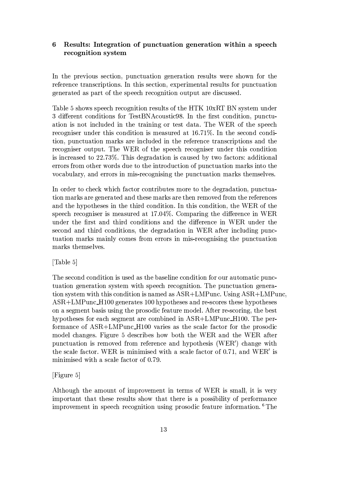## 6 Results: Integration of punctuation generation within a speech recognition system

In the previous section, punctuation generation results were shown for the reference transcriptions. In this section, experimental results for punctuation generated as part of the speech recognition output are discussed.

Table 5 shows speech recognition results of the HTK 10xRT BN system under 3 different conditions for TestBNAcoustic98. In the first condition, punctuation is not included in the training or test data. The WER of the speech recogniser under this condition is measured at 16.71%. In the second condition, punctuation marks are included in the reference transcriptions and the recogniser output. The WER of the speech recogniser under this condition is increased to 22.73%. This degradation is caused by two factors: additional errors from other words due to the introduction of punctuation marks into the vocabulary, and errors in mis-recognising the punctuation marks themselves.

In order to check which factor contributes more to the degradation, punctuation marks are generated and these marks are then removed from the references and the hypotheses in the third condition. In this condition, the WER of the speech recogniser is measured at 17.04%. Comparing the difference in WER under the first and third conditions and the difference in WER under the second and third conditions, the degradation in WER after including punctuation marks mainly comes from errors in mis-recognising the punctuation marks themselves.

 $[Table 5]$ 

The second condition is used as the baseline condition for our automatic punctuation generation system with speech recognition. The punctuation generation system with this condition is named as ASR+LMPunc. Using ASR+LMPunc, ASR+LMPunc\_H100 generates 100 hypotheses and re-scores these hypotheses on a segment basis using the prosodic feature model. After re-scoring, the best hypotheses for each segment are combined in ASR+LMPunc\_H100. The performance of ASR+LMPunc\_H100 varies as the scale factor for the prosodic model changes. Figure 5 describes how both the WER and the WER after punctuation is removed from reference and hypothesis (WER') change with the scale factor. WER is minimised with a scale factor of 0.71, and WER' is minimised with a scale factor of 0.79.

 $[Figure 5]$ 

Although the amount of improvement in terms of WER is small, it is very important that these results show that there is a possibility of performance improvement in speech recognition using prosodic feature information.<sup>6</sup> The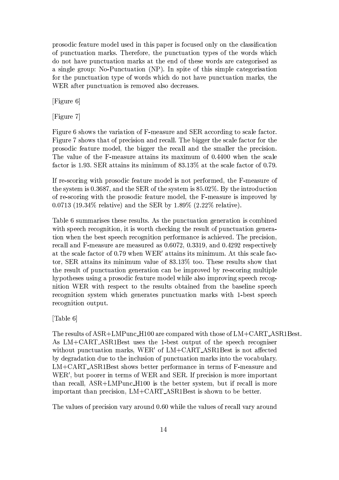prosodic feature model used in this paper is focused only on the classification of punctuation marks. Therefore, the punctuation types of the words which do not have punctuation marks at the end of these words are categorised as a single group: No-Punctuation (NP). In spite of this simple categorisation for the punctuation type of words which do not have punctuation marks, the WER after punctuation is removed also decreases.

[Figure 6]

[Figure 7]

Figure 6 shows the variation of F-measure and SER according to scale factor. Figure 7 shows that of precision and recall. The bigger the scale factor for the prosodic feature model, the bigger the recall and the smaller the precision. The value of the F-measure attains its maximum of 0.4400 when the scale factor is 1.93. SER attains its minimum of 83.13% at the scale factor of 0.79.

If re-scoring with prosodic feature model is not performed, the F-measure of the system is 0.3687, and the SER of the system is  $85.02\%$ . By the introduction of re-scoring with the prosodic feature model, the F-measure is improved by 0.0713 (19.34% relative) and the SER by 1.89% (2.22% relative).

Table 6 summarises these results. As the punctuation generation is combined with speech recognition, it is worth checking the result of punctuation generation when the best speech recognition performance is achieved. The precision, recall and F-measure are measured as 0.6072, 0.3319, and 0.4292 respectively at the scale factor of 0.79 when WER' attains its minimum. At this scale factor, SER attains its minimum value of 83.13% too. These results show that the result of punctuation generation can be improved by re-scoring multiple hypotheses using a prosodic feature model while also improving speech recognition WER with respect to the results obtained from the baseline speech recognition system which generates punctuation marks with 1-best speech recognition output.

[Table 6]

The results of  $ASR+LMP$ unc\_H100 are compared with those of  $LM+CART$ \_ASR1Best. As LM+CART\_ASR1Best uses the 1-best output of the speech recogniser without punctuation marks, WER' of LM+CART\_ASR1Best is not affected by degradation due to the inclusion of punctuation marks into the vocabulary. LM+CART\_ASR1Best shows better performance in terms of F-measure and WER', but poorer in terms of WER and SER. If precision is more important than recall, ASR+LMPunc\_H100 is the better system, but if recall is more important than precision, LM+CART\_ASR1Best is shown to be better.

The values of precision vary around 0.60 while the values of recall vary around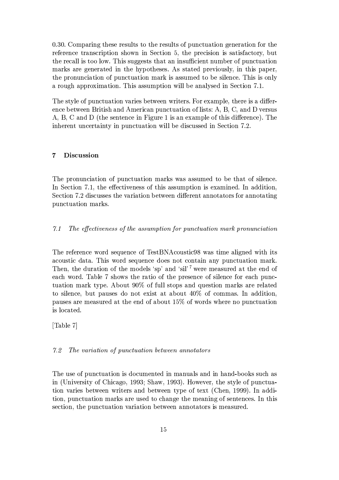0.30. Comparing these results to the results of punctuation generation for the reference transcription shown in Section 5, the precision is satisfactory, but the recall is too low. This suggests that an insufficient number of punctuation marks are generated in the hypotheses. As stated previously, in this paper, the pronunciation of punctuation mark is assumed to be silence. This is only a rough approximation. This assumption will be analysed in Section 7.1.

The style of punctuation varies between writers. For example, there is a difference between British and American punctuation of lists: A, B, C, and D versus A, B, C and D (the sentence in Figure 1 is an example of this difference). The inherent uncertainty in punctuation will be discussed in Section 7.2.

### $\overline{7}$ Discussion

The pronunciation of punctuation marks was assumed to be that of silence. In Section 7.1, the effectiveness of this assumption is examined. In addition, Section 7.2 discusses the variation between different annotators for annotating punctuation marks.

### $7.1$ The effectiveness of the assumption for punctuation mark pronunciation

The reference word sequence of TestBNAcoustic98 was time aligned with its acoustic data. This word sequence does not contain any punctuation mark. Then, the duration of the models 'sp' and 'sil'<sup>7</sup> were measured at the end of each word. Table 7 shows the ratio of the presence of silence for each punctuation mark type. About 90% of full stops and question marks are related to silence, but pauses do not exist at about 40% of commas. In addition, pauses are measured at the end of about 15% of words where no punctuation is located.

 $\lceil \text{Table } 7 \rceil$ 

#### $7.2$ The variation of punctuation between annotators

The use of punctuation is documented in manuals and in hand-books such as in (University of Chicago, 1993; Shaw, 1993). However, the style of punctuation varies between writers and between type of text (Chen, 1999). In addition, punctuation marks are used to change the meaning of sentences. In this section, the punctuation variation between annotators is measured.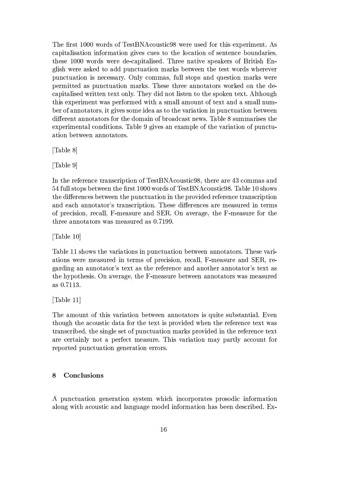The first 1000 words of TestBNAcoustic98 were used for this experiment. As capitalisation information gives cues to the location of sentence boundaries, these 1000 words were de-capitalised. Three native speakers of British English were asked to add punctuation marks between the test words wherever punctuation is necessary. Only commas, full stops and question marks were permitted as punctuation marks. These three annotators worked on the decapitalised written text only. They did not listen to the spoken text. Although this experiment was performed with a small amount of text and a small number of annotators, it gives some idea as to the variation in punctuation between different annotators for the domain of broadcast news. Table 8 summarises the experimental conditions. Table 9 gives an example of the variation of punctuation between annotators.

[Table 8]

[Table 9]

In the reference transcription of TestBNA coustic 98, there are 43 commas and 54 full stops between the first 1000 words of TestBNA coustic 98. Table 10 shows the differences between the punctuation in the provided reference transcription and each annotator's transcription. These differences are measured in terms of precision, recall, F-measure and SER. On average, the F-measure for the three annotators was measured as 0.7199.

[Table 10]

Table 11 shows the variations in punctuation between annotators. These variations were measured in terms of precision, recall, F-measure and SER, regarding an annotator's text as the reference and another annotator's text as the hypothesis. On average, the F-measure between annotators was measured as 0.7113.

[Table  $11$ ]

The amount of this variation between annotators is quite substantial. Even though the acoustic data for the text is provided when the reference text was transcribed, the single set of punctuation marks provided in the reference text are certainly not a perfect measure. This variation may partly account for reported punctuation generation errors.

## 8 Conclusions

A punctuation generation system which incorporates prosodic information along with acoustic and language model information has been described. Ex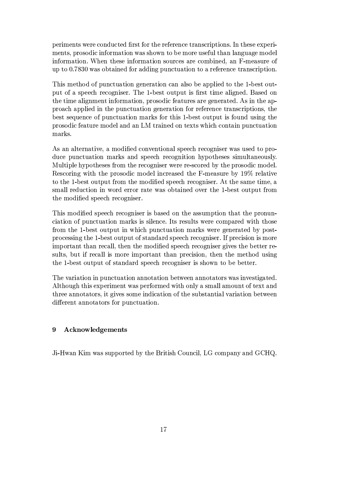periments were conducted first for the reference transcriptions. In these experiments, prosodic information was shown to be more useful than language model information. When these information sources are combined, an F-measure of up to 0.7830 was obtained for adding punctuation to a reference transcription.

This method of punctuation generation can also be applied to the 1-best output of a speech recogniser. The 1-best output is first time aligned. Based on the time alignment information, prosodic features are generated. As in the approach applied in the punctuation generation for reference transcriptions, the best sequence of punctuation marks for this 1-best output is found using the prosodic feature model and an LM trained on texts which contain punctuation marks.

As an alternative, a modified conventional speech recogniser was used to produce punctuation marks and speech recognition hypotheses simultaneously. Multiple hypotheses from the recogniser were re-scored by the prosodic model. Rescoring with the prosodic model increased the F-measure by 19% relative to the 1-best output from the modified speech recogniser. At the same time, a small reduction in word error rate was obtained over the 1-best output from the modified speech recogniser.

This modified speech recogniser is based on the assumption that the pronunciation of punctuation marks is silence. Its results were compared with those from the 1-best output in which punctuation marks were generated by postprocessing the 1-best output of standard speech recogniser. If precision is more important than recall, then the modified speech recogniser gives the better results, but if recall is more important than precision, then the method using the 1-best output of standard speech recogniser is shown to be better.

The variation in punctuation annotation between annotators was investigated. Although this experiment was performed with only a small amount of text and three annotators, it gives some indication of the substantial variation between different annotators for punctuation.

### 9 Acknowledgements

Ji-Hwan Kim was supported by the British Council, LG company and GCHQ.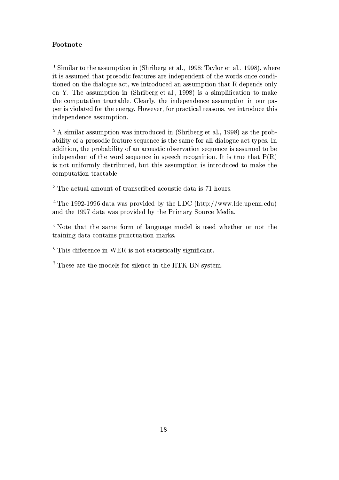## Footnote

<sup>1</sup> Similar to the assumption in (Shriberg et al., 1998; Taylor et al., 1998), where it is assumed that prosodic features are independent of the words once conditioned on the dialogue act, we introduced an assumption that R depends only on Y. The assumption in (Shriberg et al., 1998) is a simplification to make the computation tractable. Clearly, the independence assumption in our paper is violated for the energy. However, for practical reasons, we introduce this independence assumption.

<sup>2</sup> A similar assumption was introduced in (Shriberg et al., 1998) as the probability of a prosodic feature sequence is the same for all dialogue act types. In addition, the probability of an acoustic observation sequence is assumed to be independent of the word sequence in speech recognition. It is true that  $P(R)$ is not uniformly distributed, but this assumption is introduced to make the computation tractable.

<sup>3</sup> The actual amount of transcribed acoustic data is 71 hours.

<sup>4</sup> The 1992-1996 data was provided by the LDC (http://www.ldc.upenn.edu) and the 1997 data was provided by the Primary Source Media.

<sup>5</sup> Note that the same form of language model is used whether or not the training data contains punctuation marks.

 $6$  This difference in WER is not statistically significant.

<sup>7</sup> These are the models for silence in the HTK BN system.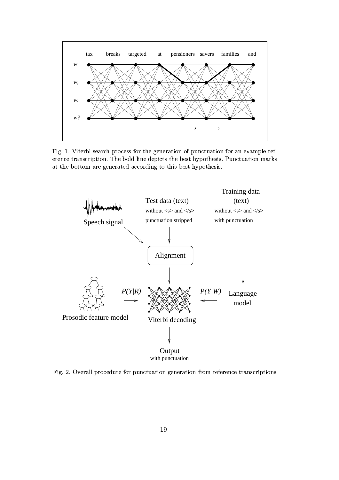

Fig. 1. Viterbi search process for the generation of punctuation for an example reference transcription. The bold line depicts the best hypothesis. Punctuation marks at the bottom are generated according to this best hypothesis.



Fig. 2. Overall procedure for punctuation generation from reference transcriptions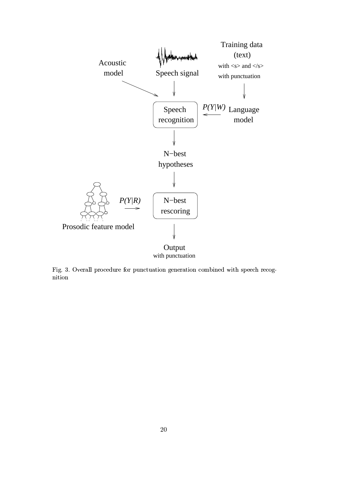

with punctuation

Fig. 3. Overall procedure for punctuation generation combined with speech recognition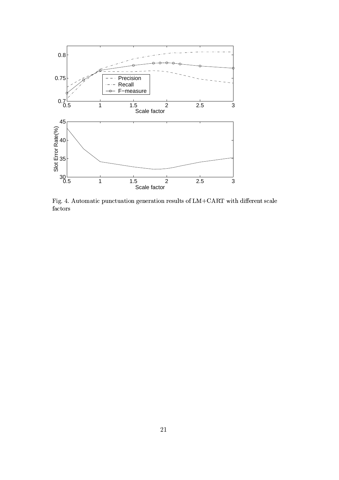

Fig. 4. Automatic punctuation generation results of LM+CART with different scale  $\operatorname{factors}$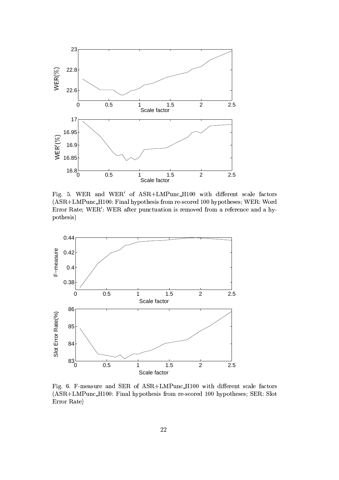

Fig. 5. WER and WER' of ASR+LMPunc\_H100 with different scale factors (ASR+LMPunc\_H100: Final hypothesis from re-scored 100 hypotheses; WER: Word Error Rate; WER': WER after punctuation is removed from a reference and a hypothesis)



Fig. 6. F-measure and SER of ASR+LMPunc\_H100 with different scale factors (ASR+LMPunc\_H100: Final hypothesis from re-scored 100 hypotheses; SER: Slot Error Rate)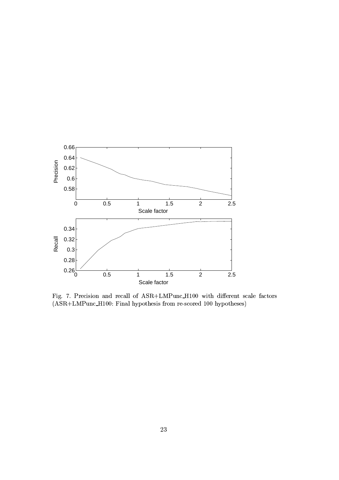

Fig. 7. Precision and recall of ASR+LMPunc\_H100 with different scale factors (ASR+LMPunc\_H100: Final hypothesis from re-scored 100 hypotheses)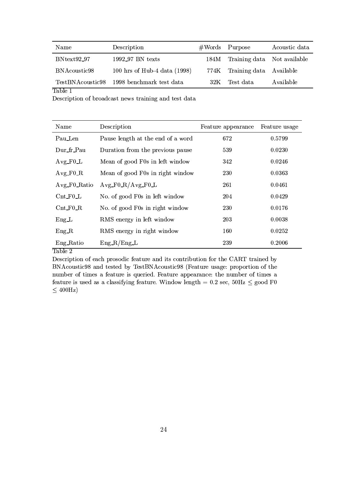| Name             | Description                    | #Words | Purpose                     | Acoustic data |
|------------------|--------------------------------|--------|-----------------------------|---------------|
| $BNtext92_97$    | 1992_97 BN texts               | 184M   | Training data Not available |               |
| BNAcoustic98     | 100 hrs of Hub-4 data $(1998)$ | 774K   | Training data Available     |               |
| TestBNAcoustic98 | 1998 benchmark test data       | 32K    | Test data                   | Available     |

Table 1

Description of broadcast news training and test data

| Name                                                | Description                       | Feature appearance | Feature usage |
|-----------------------------------------------------|-----------------------------------|--------------------|---------------|
| Pau Len                                             | Pause length at the end of a word | 672                | 0.5799        |
| Dur_fr_Pau                                          | Duration from the previous pause  | 539                | 0.0230        |
| $Avg_F0_L$                                          | Mean of good F0s in left window   | 342                | 0.0246        |
| $Avg_F0_R$                                          | Mean of good F0s in right window  | 230                | 0.0363        |
| $Avg_F0_Ratio$                                      | $Avg_F0_R/Avg_F0_L$               | 261                | 0.0461        |
| $\mathrm{Cnt}\text{-}\mathrm{F0}\text{-}\mathrm{L}$ | No. of good F0s in left window    | 204                | 0.0429        |
| $\mathrm{Cnt}$ $\mathrm{F0}$ $\mathrm{R}$           | No. of good F0s in right window   | 230                | 0.0176        |
| $Eng\_L$                                            | RMS energy in left window         | 203                | 0.0038        |
| $Eng_R$                                             | RMS energy in right window        | 160                | 0.0252        |
| Eng_Ratio                                           | $Eng_R/Eng_L$                     | 239                | 0.2006        |

Table 2

Description of each prosodic feature and its contribution for the CART trained by BNAcoustic98 and tested by TestBNAcoustic98 (Feature usage: proportion of the number of times a feature is queried. Feature appearance: the number of times a feature is used as a classifying feature. Window length = 0.2 sec, 50Hz  $\leq$  good F0  $\leq 400$ Hz)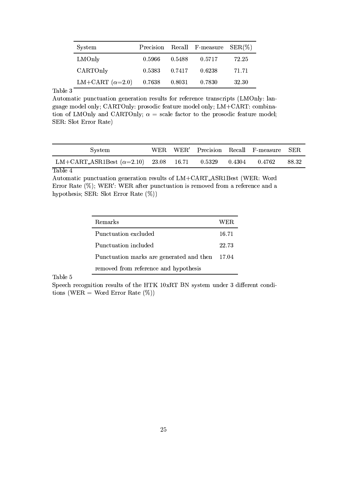| System                 | Precision |              | Recall F-measure $SER(\%)$ |       |
|------------------------|-----------|--------------|----------------------------|-------|
| LMOnly                 | 0.5966    | 0.5488       | 0.5717                     | 72.25 |
| CARTOnly               | 0.5383    | 0.7417       | 0.6238                     | 71.71 |
| LM+CART $(\alpha=2.0)$ | 0.7638    | $\,0.8031\,$ | 0.7830                     | 32.30 |

Table 3

Automatic punctuation generation results for reference transcripts (LMOnly: language model only; CARTOnly: prosodic feature model only; LM+CART: combination of LMOnly and CARTOnly;  $\alpha$  = scale factor to the prosodic feature model; SER: Slot Error Rate)

| System                                                            |  |  | WER WER' Precision Recall F-measure SER |       |
|-------------------------------------------------------------------|--|--|-----------------------------------------|-------|
| LM+CART_ASR1Best $(\alpha=2.10)$ 23.08 16.71 0.5329 0.4304 0.4762 |  |  |                                         | 88.32 |

## Table 4

Automatic punctuation generation results of LM+CART\_ASR1Best (WER: Word Error Rate (%); WER': WER after punctuation is removed from a reference and a hypothesis; SER: Slot Error Rate (%))

| Remarks                                  | WER.  |
|------------------------------------------|-------|
| Punctuation excluded                     | 16.71 |
| Punctuation included                     | 22.73 |
| Punctuation marks are generated and then | 17.04 |
| removed from reference and hypothesis    |       |

Table 5

Speech recognition results of the HTK 10xRT BN system under 3 different conditions (WER = Word Error Rate  $(\%)$ )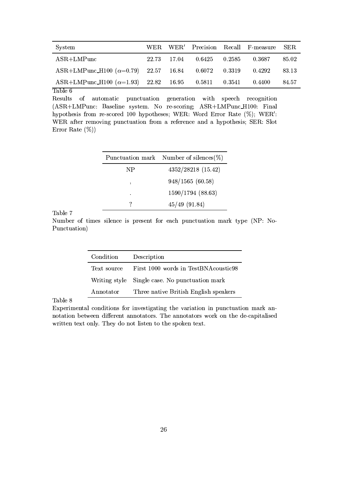| System                                                    |       |       |        |        | WER WER' Precision Recall F-measure SER |       |
|-----------------------------------------------------------|-------|-------|--------|--------|-----------------------------------------|-------|
| $ASR+LMP$ unc                                             | 22.73 | 17.04 | 0.6425 | 0.2585 | 0.3687                                  | 85.02 |
| $ASR+LMPunc.H100 (\alpha=0.79)$ 22.57 16.84 0.6072 0.3319 |       |       |        |        | 0.4292                                  | 83.13 |
| ASR+LMPunc_H100 $(\alpha=1.93)$ 22.82 16.95 0.5811 0.3541 |       |       |        |        | 0.4400                                  | 84.57 |

Table 6

Results of automatic punctuation generation with speech recognition (ASR+LMPunc: Baseline system. No re-scoring; ASR+LMPunc\_H100: Final hypothesis from re-scored 100 hypotheses; WER: Word Error Rate (%); WER': WER after removing punctuation from a reference and a hypothesis; SER: Slot Error Rate  $(\%)$ 

| Punctuation mark | Number of silences $(\%)$ |
|------------------|---------------------------|
| NP               | 4352/28218 (15.42)        |
| ٠                | 948/1565 (60.58)          |
| $\bullet$        | 1590/1794 (88.63)         |
|                  | $45/49$ (91.84)           |

Table 7

Number of times silence is present for each punctuation mark type (NP: No-Punctuation)

| Condition   | Description                                    |
|-------------|------------------------------------------------|
| Text source | First 1000 words in TestBNAcoustic98           |
|             | Writing style Single case. No punctuation mark |
| Annotator   | Three native British English speakers          |

Table 8

Experimental conditions for investigating the variation in punctuation mark annotation between different annotators. The annotators work on the de-capitalised written text only. They do not listen to the spoken text.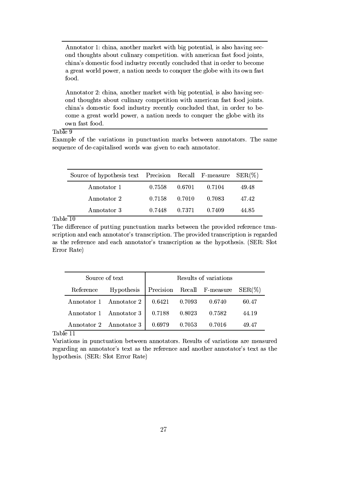Annotator 1: china, another market with big potential, is also having second thoughts about culinary competition. with american fast food joints, china's domestic food industry recently concluded that in order to become a great world power, a nation needs to conquer the globe with its own fast food.

Annotator 2: china, another market with big potential, is also having second thoughts about culinary competition with american fast food joints. china's domestic food industry recently concluded that, in order to become a great world power, a nation needs to conquer the globe with its own fast food.

## Table 9

Example of the variations in punctuation marks between annotators. The same sequence of de-capitalised words was given to each annotator.

| Source of hypothesis text Precision Recall F-measure $SER(\%)$ |        |        |        |       |
|----------------------------------------------------------------|--------|--------|--------|-------|
| Annotator 1                                                    | 0.7558 | 0.6701 | 0.7104 | 49.48 |
| Annotator 2                                                    | 0.7158 | 0.7010 | 0.7083 | 47.42 |
| Annotator 3                                                    | 0.7448 | 0.7371 | 0.7409 | 44.85 |

Table  $\overline{10}$ 

The difference of putting punctuation marks between the provided reference transcription and each annotator's transcription. The provided transcription is regarded as the reference and each annotator's transcription as the hypothesis. (SER: Slot Error Rate)

| Source of text |                         |                                         |        | Results of variations |       |  |
|----------------|-------------------------|-----------------------------------------|--------|-----------------------|-------|--|
| Reference      | Hypothesis              | Precision Recall F-measure<br>$SER(\%)$ |        |                       |       |  |
|                | Annotator 1 Annotator 2 | 0.6421                                  | 0.7093 | 0.6740                | 60.47 |  |
|                | Annotator 1 Annotator 3 | 0.7188                                  | 0.8023 | 0.7582                | 44.19 |  |
| . .            | Annotator 2 Annotator 3 | 0.6979                                  | 0.7053 | 0.7016                | 49.47 |  |

Table 11

Variations in punctuation between annotators. Results of variations are measured regarding an annotator's text as the reference and another annotator's text as the hypothesis. (SER: Slot Error Rate)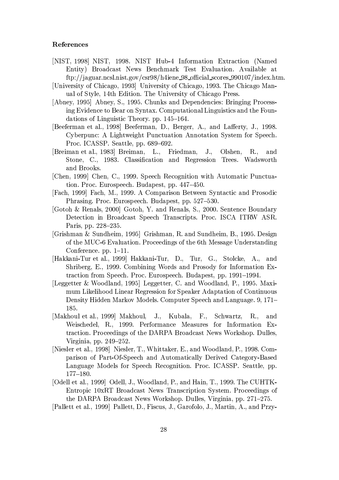## References

- [NIST, 1998] NIST, 1998. NIST Hub-4 Information Extraction (Named Entity) Broadcast News Benchmark Test Evaluation. Available at ftp://jaguar.ncsl.nist.gov/csr98/h4iene\_98\_official\_scores\_990107/index.htm.
- [University of Chicago, 1993] University of Chicago, 1993. The Chicago Manual of Style, 14th Edition. The University of Chicago Press.
- [Abney, 1995] Abney, S., 1995. Chunks and Dependencies: Bringing Processing Evidence to Bear on Syntax. Computational Linguistics and the Foundations of Linguistic Theory. pp. 145–164.
- [Beeferman et al., 1998] Beeferman, D., Berger, A., and Lafferty, J., 1998. Cyberpunc: A Lightweight Punctuation Annotation System for Speech. Proc. ICASSP. Seattle, pp. 689-692.
- [Breiman et al., 1983] Breiman, L., Friedman,  $J_{\cdot\cdot}$ Olshen,  $R_{\cdot \cdot}$ and Stone, C., 1983. Classification and Regression Trees. Wadsworth and Brooks.
- [Chen, 1999] Chen, C., 1999. Speech Recognition with Automatic Punctuation. Proc. Eurospeech. Budapest, pp. 447-450.
- [Fach, 1999] Fach, M., 1999. A Comparison Between Syntactic and Prosodic Phrasing. Proc. Eurospeech. Budapest, pp. 527–530.
- [Gotoh & Renals, 2000] Gotoh, Y. and Renals, S., 2000. Sentence Boundary Detection in Broadcast Speech Transcripts. Proc. ISCA ITRW ASR. Paris, pp. 228–235.
- [Grishman & Sundheim, 1995] Grishman, R. and Sundheim, B., 1995. Design of the MUC-6 Evaluation. Proceedings of the 6th Message Understanding Conference.  $pp. 1-11$ .
- [Hakkani-Tur et al., 1999] Hakkani-Tur, D., Tur, G., Stolcke, A., and Shriberg, E., 1999. Combining Words and Prosody for Information Extraction from Speech. Proc. Eurospeech. Budapest, pp. 1991–1994.
- [Leggetter & Woodland, 1995] Leggetter, C. and Woodland, P., 1995. Maximum Likelihood Linear Regression for Speaker Adaptation of Continuous Density Hidden Markov Models. Computer Speech and Language. 9, 171-185.
- [Makhoul et al., 1999] Makhoul, J., Kubala, F., Schwartz,  $R_{\cdot\cdot}$ and Weischedel, R., 1999. Performance Measures for Information Extraction. Proceedings of the DARPA Broadcast News Workshop. Dulles, Virginia, pp. 249–252.
- [Niesler et al., 1998] Niesler, T., Whittaker, E., and Woodland, P., 1998. Comparison of Part-Of-Speech and Automatically Derived Category-Based Language Models for Speech Recognition. Proc. ICASSP. Seattle, pp.  $177 - 180.$
- [Odell et al., 1999] Odell, J., Woodland, P., and Hain, T., 1999. The CUHTK-Entropic 10xRT Broadcast News Transcription System. Proceedings of the DARPA Broadcast News Workshop. Dulles, Virginia, pp. 271–275.

[Pallett et al., 1999] Pallett, D., Fiscus, J., Garofolo, J., Martin, A., and Przy-